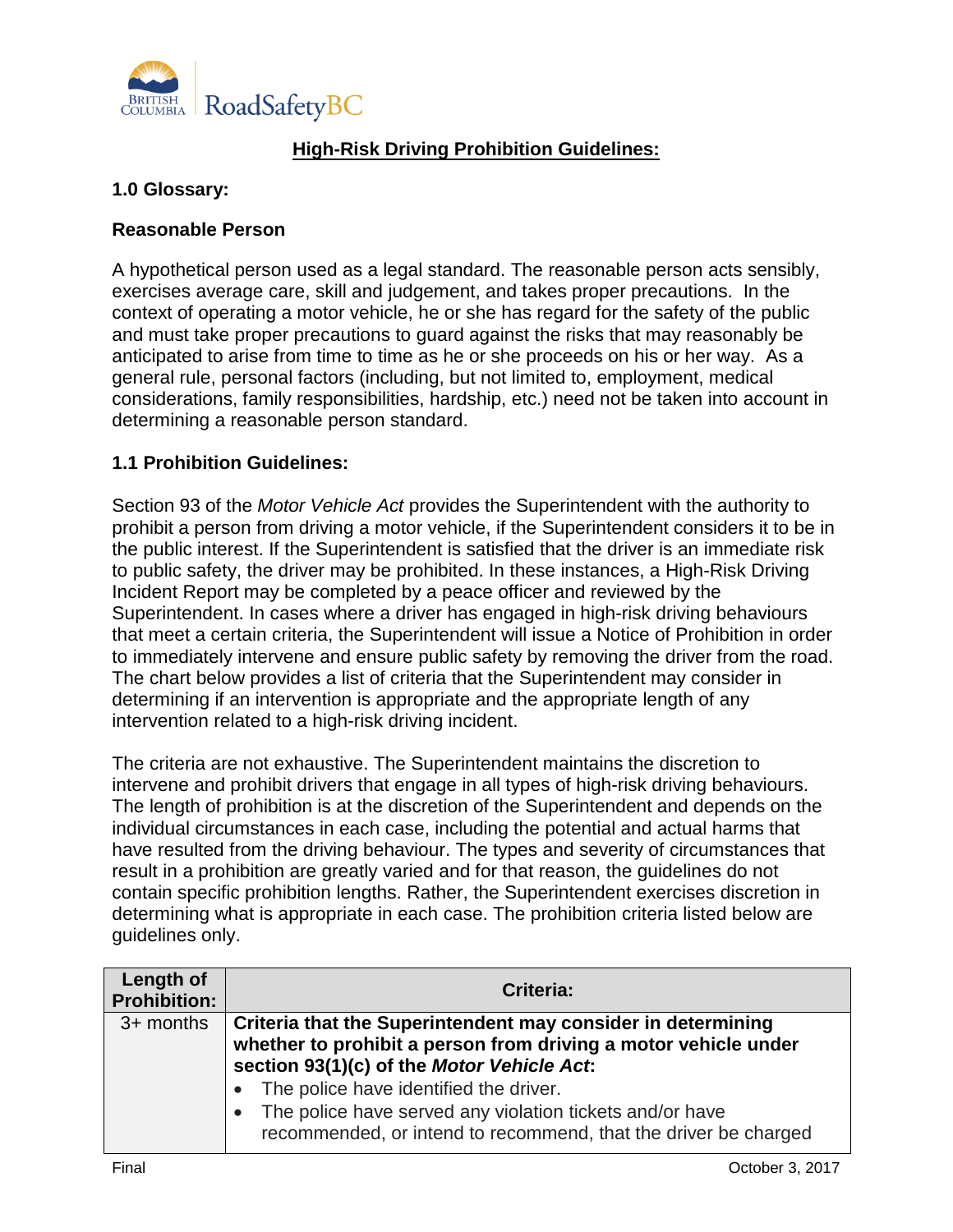

## **High-Risk Driving Prohibition Guidelines:**

## **1.0 Glossary:**

## **Reasonable Person**

A hypothetical person used as a legal standard. The reasonable person acts sensibly, exercises average care, skill and judgement, and takes proper precautions. In the context of operating a motor vehicle, he or she has regard for the safety of the public and must take proper precautions to guard against the risks that may reasonably be anticipated to arise from time to time as he or she proceeds on his or her way. As a general rule, personal factors (including, but not limited to, employment, medical considerations, family responsibilities, hardship, etc.) need not be taken into account in determining a reasonable person standard.

## **1.1 Prohibition Guidelines:**

Section 93 of the *Motor Vehicle Act* provides the Superintendent with the authority to prohibit a person from driving a motor vehicle, if the Superintendent considers it to be in the public interest. If the Superintendent is satisfied that the driver is an immediate risk to public safety, the driver may be prohibited. In these instances, a High-Risk Driving Incident Report may be completed by a peace officer and reviewed by the Superintendent. In cases where a driver has engaged in high-risk driving behaviours that meet a certain criteria, the Superintendent will issue a Notice of Prohibition in order to immediately intervene and ensure public safety by removing the driver from the road. The chart below provides a list of criteria that the Superintendent may consider in determining if an intervention is appropriate and the appropriate length of any intervention related to a high-risk driving incident.

The criteria are not exhaustive. The Superintendent maintains the discretion to intervene and prohibit drivers that engage in all types of high-risk driving behaviours. The length of prohibition is at the discretion of the Superintendent and depends on the individual circumstances in each case, including the potential and actual harms that have resulted from the driving behaviour. The types and severity of circumstances that result in a prohibition are greatly varied and for that reason, the guidelines do not contain specific prohibition lengths. Rather, the Superintendent exercises discretion in determining what is appropriate in each case. The prohibition criteria listed below are guidelines only.

| Length of<br><b>Prohibition:</b> | <b>Criteria:</b>                                                                                                            |
|----------------------------------|-----------------------------------------------------------------------------------------------------------------------------|
| 3+ months                        | Criteria that the Superintendent may consider in determining                                                                |
|                                  | whether to prohibit a person from driving a motor vehicle under<br>section 93(1)(c) of the Motor Vehicle Act.               |
|                                  | • The police have identified the driver.                                                                                    |
|                                  | The police have served any violation tickets and/or have<br>recommended, or intend to recommend, that the driver be charged |